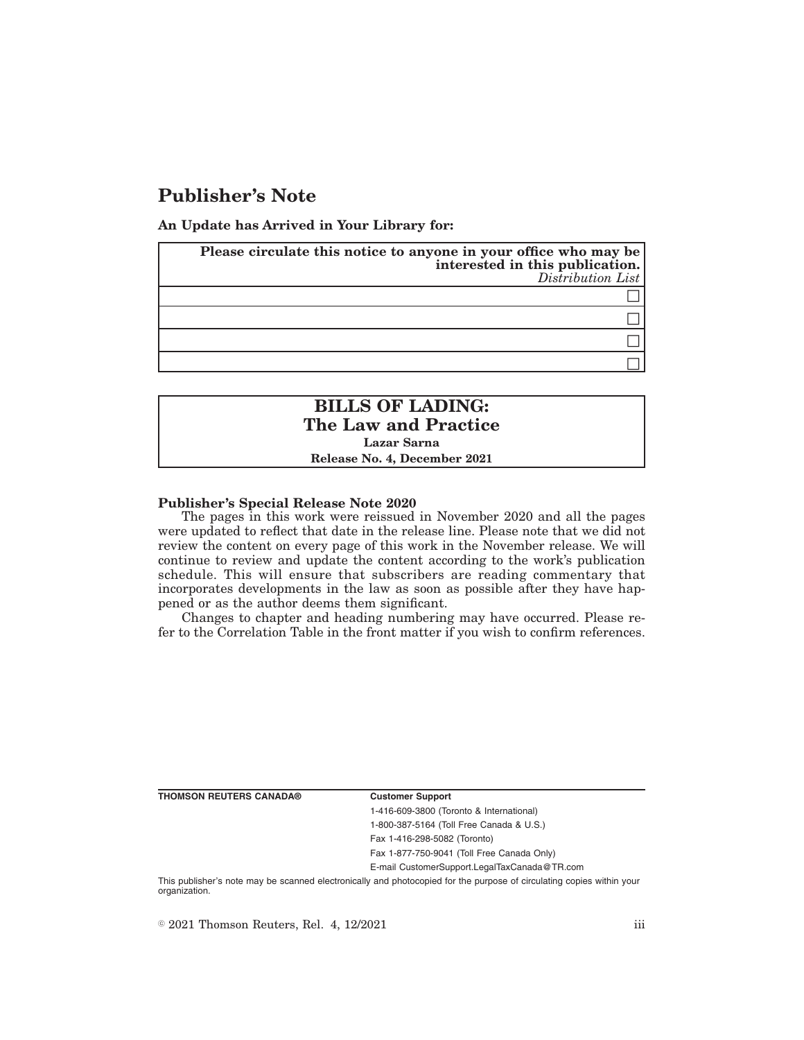# **Publisher's Note**

**An Update has Arrived in Your Library for:**

| Please circulate this notice to anyone in your office who may be<br>interested in this publication.<br>Distribution List |
|--------------------------------------------------------------------------------------------------------------------------|
|                                                                                                                          |
|                                                                                                                          |
|                                                                                                                          |
|                                                                                                                          |

## **BILLS OF LADING: The Law and Practice Lazar Sarna Release No. 4, December 2021**

### **Publisher's Special Release Note 2020**

The pages in this work were reissued in November 2020 and all the pages were updated to reflect that date in the release line. Please note that we did not review the content on every page of this work in the November release. We will continue to review and update the content according to the work's publication schedule. This will ensure that subscribers are reading commentary that incorporates developments in the law as soon as possible after they have happened or as the author deems them significant.

Changes to chapter and heading numbering may have occurred. Please refer to the Correlation Table in the front matter if you wish to confirm references.

**THOMSON REUTERS CANADA® Customer Support**

1-416-609-3800 (Toronto & International) 1-800-387-5164 (Toll Free Canada & U.S.) Fax 1-416-298-5082 (Toronto)

Fax 1-877-750-9041 (Toll Free Canada Only)

E-mail CustomerSupport.LegalTaxCanada@TR.com

This publisher's note may be scanned electronically and photocopied for the purpose of circulating copies within your organization.

 $\degree$  2021 Thomson Reuters, Rel. 4, 12/2021 iii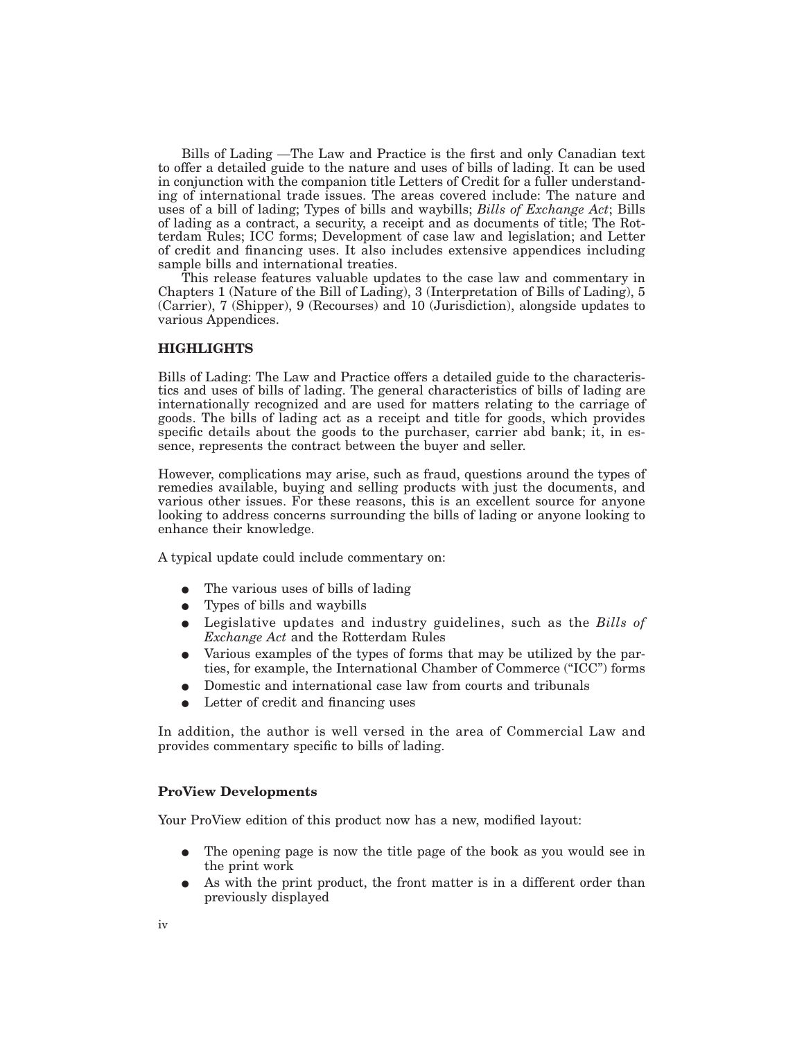Bills of Lading —The Law and Practice is the first and only Canadian text to offer a detailed guide to the nature and uses of bills of lading. It can be used in conjunction with the companion title Letters of Credit for a fuller understanding of international trade issues. The areas covered include: The nature and uses of a bill of lading; Types of bills and waybills; *Bills of Exchange Act*; Bills of lading as a contract, a security, a receipt and as documents of title; The Rotterdam Rules; ICC forms; Development of case law and legislation; and Letter of credit and financing uses. It also includes extensive appendices including sample bills and international treaties.

This release features valuable updates to the case law and commentary in Chapters 1 (Nature of the Bill of Lading), 3 (Interpretation of Bills of Lading), 5 (Carrier), 7 (Shipper), 9 (Recourses) and 10 (Jurisdiction), alongside updates to various Appendices.

### **HIGHLIGHTS**

Bills of Lading: The Law and Practice offers a detailed guide to the characteristics and uses of bills of lading. The general characteristics of bills of lading are internationally recognized and are used for matters relating to the carriage of goods. The bills of lading act as a receipt and title for goods, which provides specific details about the goods to the purchaser, carrier abd bank; it, in essence, represents the contract between the buyer and seller.

However, complications may arise, such as fraud, questions around the types of remedies available, buying and selling products with just the documents, and various other issues. For these reasons, this is an excellent source for anyone looking to address concerns surrounding the bills of lading or anyone looking to enhance their knowledge.

A typical update could include commentary on:

- $\bullet$  The various uses of bills of lading
- $\bullet$  Types of bills and waybills
- E Legislative updates and industry guidelines, such as the *Bills of Exchange Act* and the Rotterdam Rules
- E Various examples of the types of forms that may be utilized by the parties, for example, the International Chamber of Commerce ("ICC") forms
- E Domestic and international case law from courts and tribunals
- Letter of credit and financing uses

In addition, the author is well versed in the area of Commercial Law and provides commentary specific to bills of lading.

### **ProView Developments**

Your ProView edition of this product now has a new, modified layout:

- The opening page is now the title page of the book as you would see in the print work
- As with the print product, the front matter is in a different order than previously displayed